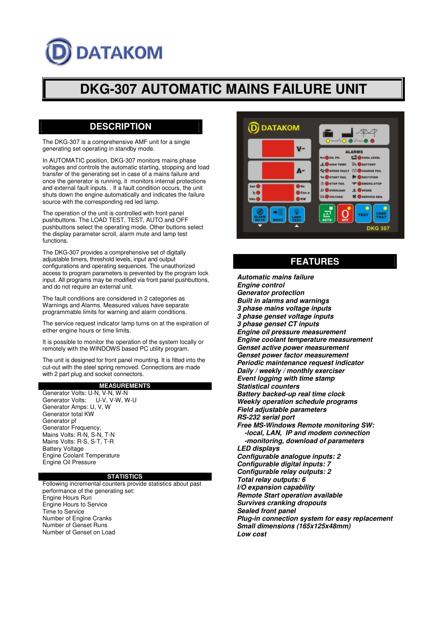# **DATAKOM**

# **DKG-307 AUTOMATIC MAINS FAILURE UNIT**

### **DESCRIPTION**

The DKG-307 is a comprehensive AMF unit for a single generating set operating in standby mode.

In AUTOMATIC position, DKG-307 monitors mains phase voltages and controls the automatic starting, stopping and load transfer of the generating set in case of a mains failure and once the generator is running, it monitors internal protections and external fault inputs. . If a fault condition occurs, the unit shuts down the engine automatically and indicates the failure source with the corresponding red led lamp.

The operation of the unit is controlled with front panel pushbuttons. The LOAD TEST, TEST, AUTO and OFF pushbuttons select the operating mode. Other buttons select the display parameter scroll, alarm mute and lamp test functions.

The DKG-307 provides a comprehensive set of digitally adjustable timers, threshold levels, input and output configurations and operating sequences. The unauthorized access to program parameters is prevented by the program lock input. All programs may be modified via front panel pushbuttons, and do not require an external unit.

The fault conditions are considered in 2 categories as Warnings and Alarms. Measured values have separate programmable limits for warning and alarm conditions.

The service request indicator lamp turns on at the expiration of either engine hours or time limits.

It is possible to monitor the operation of the system locally or remotely with the WINDOWS based PC utility program.

The unit is designed for front panel mounting. It is fitted into the cut-out with the steel spring removed. Connections are made with 2 part plug and socket connectors.

#### **MEASUREMENTS**

Generator Volts: U-N, V-N, W-N Generator Volts: U-V, V-W, W-U Generator Amps: U, V, W Generator total KW Generator pf Generator Frequency, Mains Volts: R-N, S-N, T-N Mains Volts: R-S, S-T, T-R Battery Voltage Engine Coolant Temperature Engine Oil Pressure

#### **STATISTICS**

Following incremental counters provide statistics about past performance of the generating set: Engine Hours Run Engine Hours to Service Time to Service Number of Engine Cranks Number of Genset Runs Number of Genset on Load



# **FEATURES**

*Automatic mains failure Engine control Generator protection Built in alarms and warnings 3 phase mains voltage inputs 3 phase genset voltage inputs 3 phase genset CT inputs Engine oil pressure measurement Engine coolant temperature measurement Genset active power measurement Genset power factor measurement Periodic maintenance request indicator Daily / weekly / monthly exerciser Event logging with time stamp Statistical counters Battery backed-up real time clock Weekly operation schedule programs Field adjustable parameters RS-232 serial port Free MS-Windows Remote monitoring SW: -local, LAN, IP and modem connection -monitoring, download of parameters LED displays Configurable analogue inputs: 2 Configurable digital inputs: 7 Configurable relay outputs: 2 Total relay outputs: 6 I/O expansion capability Remote Start operation available Survives cranking dropouts Sealed front panel Plug-in connection system for easy replacement Small dimensions (165x125x48mm) Low cost*